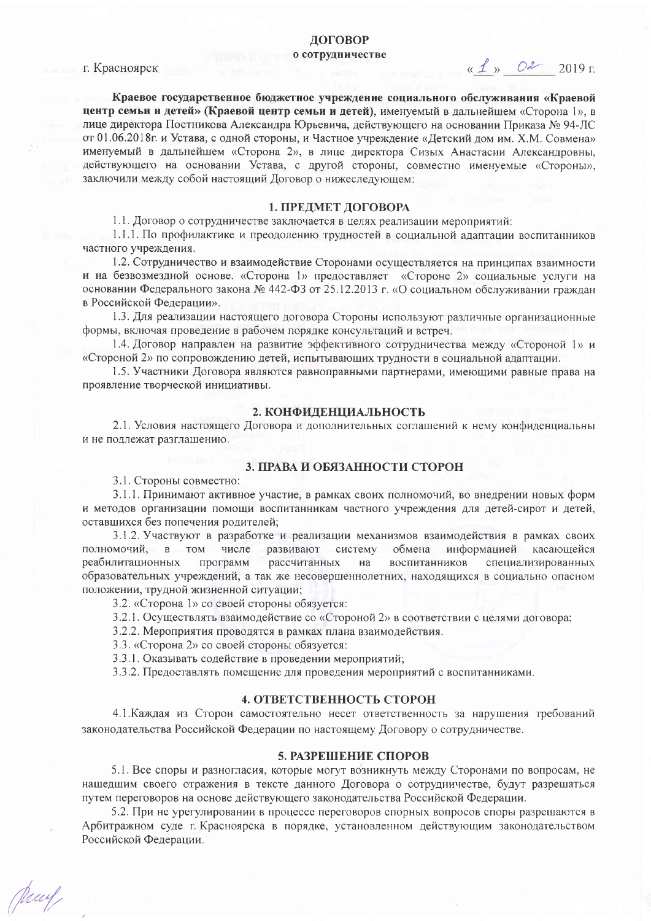# **ЛОГОВОР** о сотрудничестве

г. Красноярск

 $\alpha \nperp$   $\beta$   $\alpha$  2019  $\alpha$ 

Краевое государственное бюджетное учреждение социального обслуживания «Краевой центр семьи и детей» (Краевой центр семьи и детей), именуемый в дальнейшем «Сторона 1», в лице директора Постникова Александра Юрьевича, действующего на основании Приказа № 94-ЛС от 01.06.2018г. и Устава, с одной стороны, и Частное учреждение «Детский дом им. Х.М. Совмена» именуемый в дальнейшем «Сторона 2», в лице директора Сизых Анастасии Александровны, действующего на основании Устава, с другой стороны, совместно именуемые «Стороны», заключили между собой настоящий Договор о нижеследующем:

# 1. ПРЕДМЕТ ДОГОВОРА

1.1. Договор о сотрудничестве заключается в целях реализации мероприятий:

1.1.1. По профилактике и преодолению трудностей в социальной адаптации воспитанников частного учреждения.

1.2. Сотрудничество и взаимодействие Сторонами осуществляется на принципах взаимности и на безвозмездной основе. «Сторона 1» предоставляет «Стороне 2» социальные услуги на основании Федерального закона № 442-ФЗ от 25.12.2013 г. «О социальном обслуживании граждан в Российской Федерации».

1.3. Для реализации настоящего договора Стороны используют различные организационные формы, включая проведение в рабочем порядке консультаций и встреч.

1.4. Договор направлен на развитие эффективного сотрудничества между «Стороной 1» и «Стороной 2» по сопровождению детей, испытывающих трудности в социальной адаптации.

1.5. Участники Договора являются равноправными партнерами, имеющими равные права на проявление творческой инициативы.

# 2. КОНФИДЕНЦИАЛЬНОСТЬ

2.1. Условия настоящего Договора и дополнительных соглашений к нему конфиденциальны и не подлежат разглашению.

## 3. ПРАВА И ОБЯЗАННОСТИ СТОРОН

3.1. Стороны совместно:

Muy

3.1.1. Принимают активное участие, в рамках своих полномочий, во внедрении новых форм и методов организации помощи воспитанникам частного учреждения для детей-сирот и детей, оставшихся без попечения родителей:

3.1.2. Участвуют в разработке и реализации механизмов взаимодействия в рамках своих полномочий,  $B$  TOM числе развивают систему обмена информацией касающейся реабилитационных программ рассчитанных на воспитанников специализированных образовательных учреждений, а так же несовершеннолетних, находящихся в социально опасном положении, трудной жизненной ситуации;

3.2. «Сторона 1» со своей стороны обязуется:

3.2.1. Осуществлять взаимодействие со «Стороной 2» в соответствии с целями договора;

3.2.2. Мероприятия проводятся в рамках плана взаимодействия.

3.3. «Сторона 2» со своей стороны обязуется:

3.3.1. Оказывать содействие в проведении мероприятий;

3.3.2. Предоставлять помещение для проведения мероприятий с воспитанниками.

## 4. ОТВЕТСТВЕННОСТЬ СТОРОН

4.1. Каждая из Сторон самостоятельно несет ответственность за нарушения требований законодательства Российской Федерации по настоящему Договору о сотрудничестве.

### 5. РАЗРЕШЕНИЕ СПОРОВ

5.1. Все споры и разногласия, которые могут возникнуть между Сторонами по вопросам, не нашедшим своего отражения в тексте данного Договора о сотрудничестве, будут разрешаться путем переговоров на основе действующего законодательства Российской Федерации.

5.2. При не урегулировании в процессе переговоров спорных вопросов споры разрешаются в Арбитражном суде г. Красноярска в порядке, установленном действующим законодательством Российской Федерации.